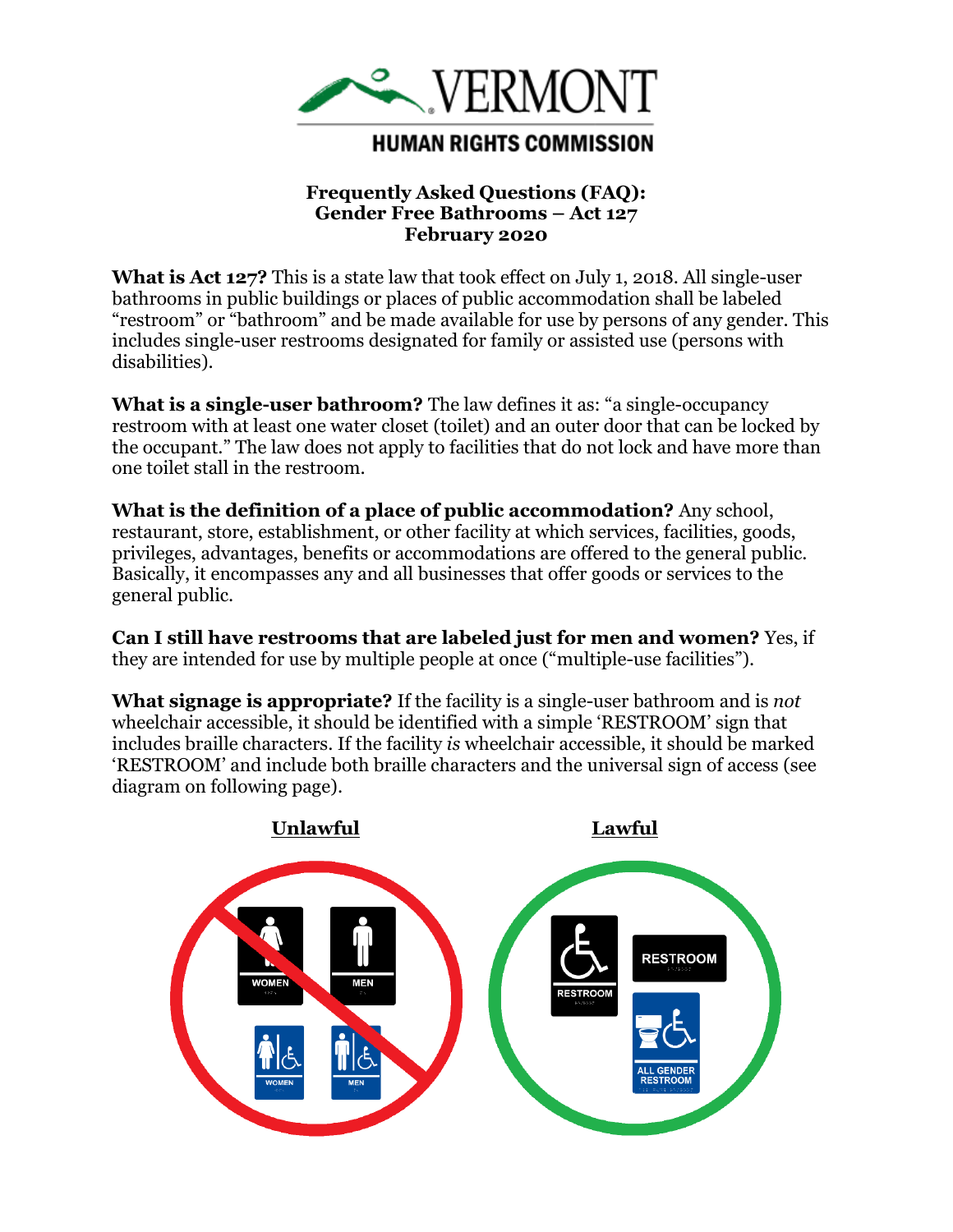

## **Frequently Asked Questions (FAQ): Gender Free Bathrooms – Act 127 February 2020**

**What is Act 127?** This is a state law that took effect on July 1, 2018. All single-user bathrooms in public buildings or places of public accommodation shall be labeled "restroom" or "bathroom" and be made available for use by persons of any gender. This includes single-user restrooms designated for family or assisted use (persons with disabilities).

**What is a single-user bathroom?** The law defines it as: "a single-occupancy restroom with at least one water closet (toilet) and an outer door that can be locked by the occupant." The law does not apply to facilities that do not lock and have more than one toilet stall in the restroom.

**What is the definition of a place of public accommodation?** Any school, restaurant, store, establishment, or other facility at which services, facilities, goods, privileges, advantages, benefits or accommodations are offered to the general public. Basically, it encompasses any and all businesses that offer goods or services to the general public.

**Can I still have restrooms that are labeled just for men and women?** Yes, if they are intended for use by multiple people at once ("multiple-use facilities").

**What signage is appropriate?** If the facility is a single-user bathroom and is *not* wheelchair accessible, it should be identified with a simple 'RESTROOM' sign that includes braille characters. If the facility *is* wheelchair accessible, it should be marked 'RESTROOM' and include both braille characters and the universal sign of access (see diagram on following page).